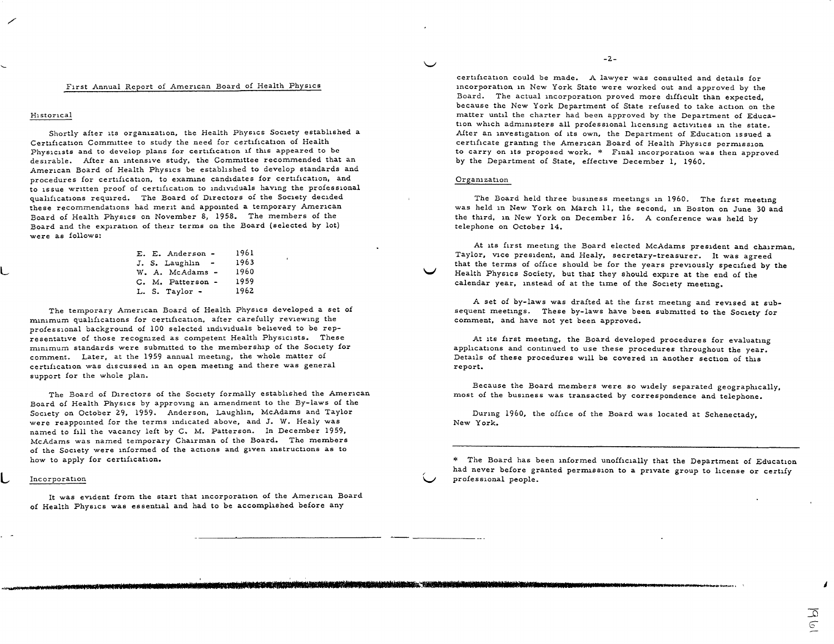# First Annual Report of American Board of Health Physics

### Historical

L

L

Shortly after its organization, the Health Physics Society established <sup>a</sup> Certification Committee to study the need for certification of Health Physicists and to develop plans for certification if this appeared to be desirable. After an intensive study, the Committee recommended that an American Board of Health Physics be established to develop standards and procedures for certification, to examine candidates for certification, and to issue written proof of certification to 1nd1v1duals having the professional qualifications required. The Board of Directors of the Society decided these recommendations had merit and appointed a temporary American Board of Health Physics on November 8, 1958. The members of the Board and the expiration of their terms on the Board (selected by lot) were as follows:

|  | E. E. Anderson -  | 1961 |
|--|-------------------|------|
|  | J. S. Laughlin -  | 1963 |
|  | W. A. McAdams -   | 1960 |
|  | C. M. Patterson - | 1959 |
|  | L. S. Taylor -    | 1962 |

The temporary American Board of Health Physics developed a set of minimum qualifications for certification, after carefully reviewing the professional background of 100 selected 1nd1v1duals believed to be representative of those recognized as competent Health Physicists. These minimum standards were submitted to the membership of the Society for comment. Later, at the 1959 annual meeting, the whole matter of certification was discussed 1n an open meeting and there was genera<sup>l</sup> support for the whole plan.

The Board of Directors of the Society formally established the American Board of Health Physics by approving an amendment to the By-laws of the Society on October 29, 1959. Anderson, Laughlin, McAdams and Taylor were reappointed for the terms indicated above, and J. W. Healy was named to fill the vacancy left by C. M. Patterson. In December 1959, McAdams was named temporary Chairman of the Board. The members of the Society were informed of the actions and given instructions as to how to apply for certification.

# Incorporation

It was evident from the start that incorporation of the American Board of Health Physics was essential and had to be accomplished before any

certification could be made. A lawyer was consulted and details for incorporation 1n New York State were worked out and approved by the Board. The actual incorporation proved more difficult than expected, because the New York Department of State refused to take action on the matter until the charter had been approved by the Department of Education which administers all professional licensing activities 1n the state. After an investigation of its own, the Department of Education issued <sup>a</sup> certificate granting the American Board of Health Physics permission to carry on its proposed work. \* Final incorporation was then approve<sup>d</sup> by the Department of State, effective December 1, 1960.

-2.-

#### Organization

V

v

sen verbalding den de derienne (1964) begehörte Problemen Biblioten (1964) und der "Höhler Guldwinder Des Belein

The Board held three business meetings in 1960. The first meeting was held in New York on March 11, the second, in Boston on June 30 and the third, 1n New York on December 16. A conference was held by telephone on October 14.

At its first meeting the Board elected McAdams president and chairman, Taylor, vice president, and Healy, secretary-treasurer. It was agree<sup>d</sup> that the terms of office should be for the years previously specified by the Health Physics Society, but that they should expire at the end of the calendar year, instead of at the time of the Society meeting.

<sup>A</sup>set of by-laws was drafted at the first meeting and revised at subsequent meetings. These by-laws have been submitted to the Society for comment, and have not yet been approved.

At its first meeting, the Board developed procedures for evaluating applications and continued to use these procedures throughout the year. Details of these procedures will be covered in another section of this report.

Because the Board members were so widely separated geographically, most of the business was transacted by correspondence and telephone.

During 1960, the office of the Board was located at Schenectady, New York.

\* The Board has been informed unofficially that the Department of Education had never before granted permission to a private group to license or certify professional people.

 $^{\prime}$